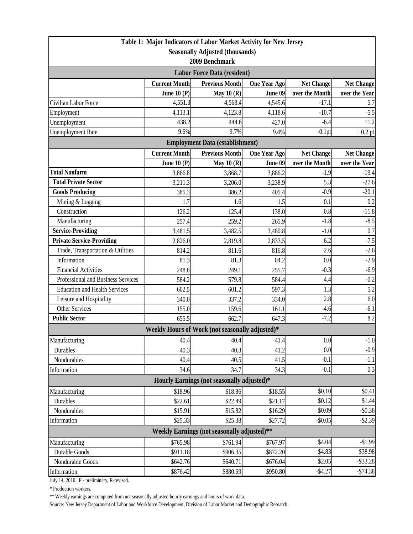| Table 1: Major Indicators of Labor Market Activity for New Jersey       |                      |                                                 |                     |                   |                   |  |  |  |
|-------------------------------------------------------------------------|----------------------|-------------------------------------------------|---------------------|-------------------|-------------------|--|--|--|
| <b>Seasonally Adjusted (thousands)</b>                                  |                      |                                                 |                     |                   |                   |  |  |  |
| 2009 Benchmark                                                          |                      |                                                 |                     |                   |                   |  |  |  |
| <b>Labor Force Data (resident)</b>                                      |                      |                                                 |                     |                   |                   |  |  |  |
|                                                                         | <b>Current Month</b> | <b>Previous Month</b>                           | <b>One Year Ago</b> | <b>Net Change</b> | <b>Net Change</b> |  |  |  |
|                                                                         | June 10 $(P)$        | May $10(R)$                                     | June 09             | over the Month    | over the Year     |  |  |  |
| Civilian Labor Force                                                    | 4,551.3              | 4,568.4                                         | 4,545.6             | $-17.1$           | 5.7               |  |  |  |
| Employment                                                              | 4,113.1              | 4,123.8                                         | 4,118.6             | $-10.7$           | $-5.5$            |  |  |  |
| Unemployment                                                            | 438.2                | 444.6                                           | 427.0               | $-6.4$            | 11.2              |  |  |  |
| <b>Unemployment Rate</b>                                                | 9.6%                 | 9.7%                                            | 9.4%                | $-0.1$ pt         | $+0.2$ pt         |  |  |  |
| <b>Employment Data (establishment)</b>                                  |                      |                                                 |                     |                   |                   |  |  |  |
|                                                                         | <b>Current Month</b> | <b>Previous Month</b>                           | <b>One Year Ago</b> | <b>Net Change</b> | <b>Net Change</b> |  |  |  |
|                                                                         | June 10 $(P)$        | May $10(R)$                                     | June 09             | over the Month    | over the Year     |  |  |  |
| <b>Total Nonfarm</b>                                                    | 3,866.8              | 3,868.7                                         | 3,886.2             | $-1.9$            | $-19.4$           |  |  |  |
| <b>Total Private Sector</b>                                             | 3,211.3              | 3,206.0                                         | 3,238.9             | 5.3               | $-27.6$           |  |  |  |
| <b>Goods Producing</b>                                                  | 385.3                | 386.2                                           | 405.4               | $-0.9$            | $-20.1$           |  |  |  |
| Mining & Logging                                                        | 1.7                  | 1.6                                             | 1.5                 | 0.1               | 0.2               |  |  |  |
| Construction                                                            | 126.2                | 125.4                                           | 138.0               | 0.8               | $-11.8$           |  |  |  |
| Manufacturing                                                           | 257.4                | 259.2                                           | 265.9               | $-1.8$            | $-8.5$            |  |  |  |
| <b>Service-Providing</b>                                                | 3,481.5              | 3,482.5                                         | 3,480.8             | $-1.0$            | 0.7               |  |  |  |
| <b>Private Service-Providing</b>                                        | 2,826.0              | 2,819.8                                         | 2,833.5             | 6.2               | $-7.5$            |  |  |  |
| Trade, Transportation & Utilities                                       | 814.2                | 811.6                                           | 816.8               | 2.6               | $-2.6$            |  |  |  |
| Information                                                             | 81.3                 | 81.3                                            | 84.2                | 0.0               | $-2.9$            |  |  |  |
| <b>Financial Activities</b>                                             | 248.8                | 249.1                                           | 255.7               | $-0.3$            | $-6.9$            |  |  |  |
| Professional and Business Services                                      | 584.2                | 579.8                                           | 584.4               | 4.4               | $-0.2$            |  |  |  |
| <b>Education and Health Services</b>                                    | 602.5                | 601.2                                           | 597.3               | 1.3               | 5.2               |  |  |  |
| Leisure and Hospitality                                                 | 340.0                | 337.2                                           | 334.0               | 2.8               | 6.0               |  |  |  |
| <b>Other Services</b>                                                   | 155.0                | 159.6                                           | 161.1               | $-4.6$            | $-6.1$            |  |  |  |
| <b>Public Sector</b>                                                    | 655.5                | 662.7                                           | 647.3               | $-7.2$            | 8.2               |  |  |  |
|                                                                         |                      | Weekly Hours of Work (not seasonally adjusted)* |                     |                   |                   |  |  |  |
| Manufacturing                                                           | 40.4                 | 40.4                                            | 41.4                | 0.0               | $-1.0$            |  |  |  |
| Durables                                                                | 40.3                 | 40.3                                            | 41.2                | 0.0               | $-0.9$            |  |  |  |
| Nondurables                                                             | 40.4                 | 40.5                                            | 41.5                | $-0.1$            | $-1.1$            |  |  |  |
| Information                                                             | 34.6                 | 34.7                                            | 34.3                | $-0.1$            | 0.3               |  |  |  |
| Hourly Earnings (not seasonally adjusted)*                              |                      |                                                 |                     |                   |                   |  |  |  |
| Manufacturing                                                           | \$18.96              | \$18.86                                         | \$18.55             | \$0.10            | \$0.41            |  |  |  |
| Durables                                                                | \$22.61              | \$22.49                                         | \$21.17             | \$0.12            | \$1.44            |  |  |  |
| Nondurables                                                             | \$15.91              | \$15.82                                         | \$16.29             | \$0.09            | $-$0.38$          |  |  |  |
| Information                                                             | \$25.33              | \$25.38                                         | \$27.72             | $-$0.05$          | $-$ \$2.39        |  |  |  |
| Weekly Earnings (not seasonally adjusted)**                             |                      |                                                 |                     |                   |                   |  |  |  |
| \$4.04<br>$-$1.99$<br>Manufacturing<br>\$765.98<br>\$761.94<br>\$767.97 |                      |                                                 |                     |                   |                   |  |  |  |
| Durable Goods                                                           | \$911.18             | \$906.35                                        | \$872.20            | \$4.83            | \$38.98           |  |  |  |
| Nondurable Goods                                                        | \$642.76             | \$640.71                                        | \$676.04            | \$2.05            | $-$ \$33.28       |  |  |  |
| Information                                                             | \$876.42             | \$880.69                                        | \$950.80            | $-$4.27$          | $-$74.38$         |  |  |  |

July 14, 2010 P - preliminary, R-revised.

\* Production workers.

\*\* Weekly earnings are computed from not seasonally adjusted hourly earnings and hours of work data.

Source: New Jersey Department of Labor and Workforce Development, Division of Labor Market and Demographic Research.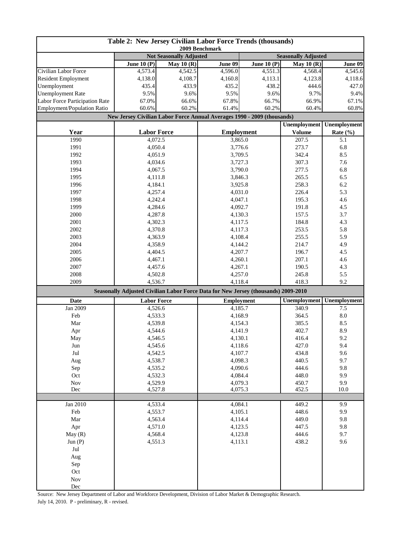| Table 2: New Jersey Civilian Labor Force Trends (thousands)<br>2009 Benchmark |                                                                                    |             |                   |              |                     |                     |
|-------------------------------------------------------------------------------|------------------------------------------------------------------------------------|-------------|-------------------|--------------|---------------------|---------------------|
|                                                                               | <b>Not Seasonally Adjusted</b><br><b>Seasonally Adjusted</b>                       |             |                   |              |                     |                     |
|                                                                               | June $10(P)$                                                                       | May $10(R)$ | June 09           | June $10(P)$ | May $10(R)$         | June 09             |
| Civilian Labor Force                                                          | 4,573.4                                                                            | 4,542.5     | 4,596.0           | 4,551.3      | 4,568.4             | 4,545.6             |
| <b>Resident Employment</b>                                                    | 4,138.0                                                                            | 4,108.7     | 4,160.8           | 4,113.1      | 4,123.8             | 4,118.6             |
| Unemployment                                                                  | 435.4                                                                              | 433.9       | 435.2             | 438.2        | 444.6               | 427.0               |
| <b>Unemployment Rate</b>                                                      | 9.5%                                                                               | 9.6%        | 9.5%              | 9.6%         | 9.7%                | 9.4%                |
| Labor Force Participation Rate                                                | 67.0%                                                                              | 66.6%       | 67.8%             | 66.7%        | 66.9%               | 67.1%               |
| Employment/Population Ratio                                                   | 60.6%                                                                              | 60.2%       | 61.4%             | 60.2%        | 60.4%               | 60.8%               |
|                                                                               | New Jersey Civilian Labor Force Annual Averages 1990 - 2009 (thousands)            |             |                   |              |                     |                     |
|                                                                               |                                                                                    |             |                   |              | <b>Unemployment</b> | <b>Unemployment</b> |
| Year                                                                          | <b>Labor Force</b>                                                                 |             | <b>Employment</b> |              | <b>Volume</b>       | Rate (%)            |
| 1990                                                                          | 4,072.5                                                                            |             |                   | 3,865.0      | 207.5               | 5.1                 |
| 1991                                                                          | 4,050.4                                                                            |             | 3,776.6           |              | 273.7<br>342.4      | 6.8                 |
| 1992                                                                          | 4,051.9                                                                            |             |                   | 3,709.5      |                     | 8.5                 |
| 1993                                                                          | 4,034.6                                                                            |             | 3,727.3           |              | 307.3               | 7.6                 |
| 1994                                                                          | 4,067.5                                                                            |             | 3,790.0           |              | 277.5<br>265.5      | 6.8                 |
| 1995                                                                          | 4,111.8                                                                            |             |                   | 3,846.3      |                     | 6.5                 |
| 1996                                                                          | 4,184.1                                                                            |             | 3,925.8           |              | 258.3               | 6.2                 |
| 1997                                                                          | 4,257.4                                                                            |             | 4,031.0           |              | 226.4               | 5.3                 |
| 1998                                                                          | 4,242.4                                                                            |             | 4,047.1           |              | 195.3               | 4.6                 |
| 1999                                                                          | 4,284.6                                                                            |             | 4,092.7           |              | 191.8               | 4.5                 |
| 2000                                                                          | 4,287.8                                                                            |             | 4,130.3           |              | 157.5               | 3.7                 |
| 2001                                                                          | 4,302.3                                                                            |             | 4,117.5           |              | 184.8               | 4.3                 |
| 2002                                                                          | 4,370.8                                                                            |             |                   | 4,117.3      |                     | 5.8                 |
| 2003                                                                          | 4,363.9                                                                            |             |                   | 4,108.4      |                     | 5.9                 |
| 2004                                                                          | 4,358.9                                                                            |             | 4,144.2           |              | 214.7               | 4.9                 |
| 2005                                                                          | 4,404.5                                                                            |             | 4,207.7           |              | 196.7               | 4.5                 |
| 2006                                                                          | 4,467.1                                                                            |             | 4,260.1           |              | 207.1               | 4.6                 |
| 2007                                                                          | 4,457.6                                                                            |             | 4,267.1           |              | 190.5               | 4.3                 |
| 2008                                                                          | 4,502.8                                                                            |             | 4,257.0           |              | 245.8               | 5.5                 |
| 2009                                                                          | 4,536.7                                                                            |             | 4,118.4           |              | 418.3               | 9.2                 |
|                                                                               | Seasonally Adjusted Civilian Labor Force Data for New Jersey (thousands) 2009-2010 |             |                   |              |                     |                     |
| Date                                                                          | <b>Labor Force</b>                                                                 |             | <b>Employment</b> |              | Unemployment        | Unemployment        |
| Jan 2009                                                                      | 4,526.6                                                                            |             | 4,185.7           |              | 340.9               | 7.5                 |
| Feb                                                                           | 4,533.3                                                                            |             | 4,168.9           |              | 364.5               | 8.0                 |
| Mar                                                                           | 4,539.8                                                                            |             | 4,154.3           |              | 385.5               | 8.5                 |
| Apr                                                                           | 4,544.6                                                                            |             | 4,141.9           |              | 402.7               | 8.9                 |
| May                                                                           | 4,546.5                                                                            |             | 4,130.1           |              | 416.4               | 9.2                 |
| Jun                                                                           | 4,545.6                                                                            |             | 4,118.6           |              | 427.0               | 9.4                 |
| Jul                                                                           | 4,542.5                                                                            |             | 4,107.7           |              | 434.8               | 9.6                 |
| Aug                                                                           | 4,538.7                                                                            |             | 4,098.3           |              | 440.5               | 9.7                 |
| Sep                                                                           | 4,535.2                                                                            |             | 4,090.6           |              | 444.6               | 9.8                 |
| Oct                                                                           | 4,532.3                                                                            |             | 4,084.4           |              | 448.0               | 9.9                 |
| $\operatorname{Nov}$                                                          | 4,529.9                                                                            |             | 4,079.3           |              | 450.7               | 9.9                 |
| Dec                                                                           | 4,527.8                                                                            |             | 4,075.3           |              | 452.5               | 10.0                |
|                                                                               |                                                                                    |             |                   |              |                     |                     |
| Jan 2010                                                                      | 4,533.4                                                                            |             | 4,084.1           |              | 449.2               | 9.9                 |
| Feb                                                                           | 4,553.7                                                                            |             | 4,105.1           |              | 448.6               | 9.9                 |
| Mar                                                                           | 4,563.4                                                                            |             | 4,114.4           |              | 449.0               | 9.8                 |
| Apr                                                                           | 4,571.0                                                                            |             | 4,123.5           |              | 447.5               | 9.8                 |
| May(R)                                                                        | 4,568.4                                                                            |             | 4,123.8           |              | 444.6               | 9.7                 |
| Jun (P)                                                                       | 4,551.3                                                                            |             | 4,113.1           |              | 438.2               | 9.6                 |
| Jul                                                                           |                                                                                    |             |                   |              |                     |                     |
| Aug                                                                           |                                                                                    |             |                   |              |                     |                     |
| Sep                                                                           |                                                                                    |             |                   |              |                     |                     |
| Oct                                                                           |                                                                                    |             |                   |              |                     |                     |
| <b>Nov</b>                                                                    |                                                                                    |             |                   |              |                     |                     |
| Dec                                                                           |                                                                                    |             |                   |              |                     |                     |

Source: New Jersey Department of Labor and Workforce Development, Division of Labor Market & Demographic Research. July 14, 2010. P - preliminary, R - revised.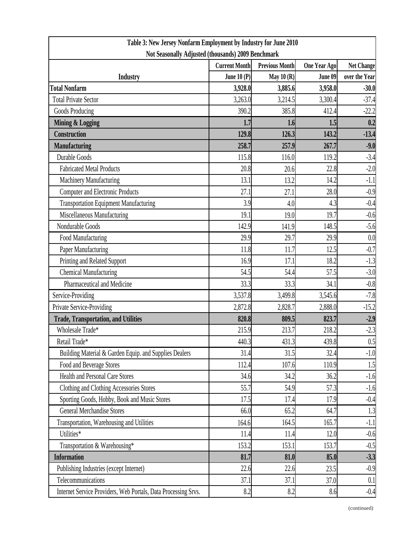| Table 3: New Jersey Nonfarm Employment by Industry for June 2010 |                      |                       |              |                   |  |  |  |
|------------------------------------------------------------------|----------------------|-----------------------|--------------|-------------------|--|--|--|
| Not Seasonally Adjusted (thousands) 2009 Benchmark               |                      |                       |              |                   |  |  |  |
|                                                                  | <b>Current Month</b> | <b>Previous Month</b> | One Year Ago | <b>Net Change</b> |  |  |  |
| <b>Industry</b>                                                  | June $10(P)$         | May $10(R)$           | June 09      | over the Year     |  |  |  |
| <b>Total Nonfarm</b>                                             | 3,928.0              | 3,885.6               | 3,958.0      | $-30.0$           |  |  |  |
| <b>Total Private Sector</b>                                      | 3,263.0              | 3,214.5               | 3,300.4      | $-37.4$           |  |  |  |
| Goods Producing                                                  | 390.2                | 385.8                 | 412.4        | $-22.2$           |  |  |  |
| <b>Mining &amp; Logging</b>                                      | 1.7                  | 1.6                   | 1.5          | 0.2               |  |  |  |
| <b>Construction</b>                                              | 129.8                | 126.3                 | 143.2        | $-13.4$           |  |  |  |
| <b>Manufacturing</b>                                             | 258.7                | 257.9                 | 267.7        | $-9.0$            |  |  |  |
| Durable Goods                                                    | 115.8                | 116.0                 | 119.2        | $-3.4$            |  |  |  |
| <b>Fabricated Metal Products</b>                                 | 20.8                 | 20.6                  | 22.8         | $-2.0$            |  |  |  |
| Machinery Manufacturing                                          | 13.1                 | 13.2                  | 14.2         | $-1.1$            |  |  |  |
| <b>Computer and Electronic Products</b>                          | 27.1                 | 27.1                  | 28.0         | $-0.9$            |  |  |  |
| <b>Transportation Equipment Manufacturing</b>                    | 3.9                  | 4.0                   | 4.3          | $-0.4$            |  |  |  |
| Miscellaneous Manufacturing                                      | 19.1                 | 19.0                  | 19.7         | $-0.6$            |  |  |  |
| Nondurable Goods                                                 | 142.9                | 141.9                 | 148.5        | $-5.6$            |  |  |  |
| Food Manufacturing                                               | 29.9                 | 29.7                  | 29.9         | 0.0               |  |  |  |
| Paper Manufacturing                                              | 11.8                 | 11.7                  | 12.5         | $-0.7$            |  |  |  |
| Printing and Related Support                                     | 16.9                 | 17.1                  | 18.2         | $-1.3$            |  |  |  |
| <b>Chemical Manufacturing</b>                                    | 54.5                 | 54.4                  | 57.5         | $-3.0$            |  |  |  |
| Pharmaceutical and Medicine                                      | 33.3                 | 33.3                  | 34.1         | $-0.8$            |  |  |  |
| Service-Providing                                                | 3,537.8              | 3,499.8               | 3,545.6      | $-7.8$            |  |  |  |
| Private Service-Providing                                        | 2,872.8              | 2,828.7               | 2,888.0      | $-15.2$           |  |  |  |
| <b>Trade, Transportation, and Utilities</b>                      | 820.8                | 809.5                 | 823.7        | $-2.9$            |  |  |  |
| Wholesale Trade*                                                 | 215.9                | 213.7                 | 218.2        | $-2.3$            |  |  |  |
| Retail Trade*                                                    | 440.3                | 431.3                 | 439.8        | 0.5               |  |  |  |
| Building Material & Garden Equip. and Supplies Dealers           | 31.4                 | 31.5                  | 32.4         | $-1.0$            |  |  |  |
| Food and Beverage Stores                                         | 112.4                | 107.6                 | 110.9        | 1.5               |  |  |  |
| <b>Health and Personal Care Stores</b>                           | 34.6                 | 34.2                  | 36.2         | $-1.6$            |  |  |  |
| Clothing and Clothing Accessories Stores                         | 55.7                 | 54.9                  | 57.3         | $-1.6$            |  |  |  |
| Sporting Goods, Hobby, Book and Music Stores                     | 17.5                 | 17.4                  | 17.9         | $-0.4$            |  |  |  |
| <b>General Merchandise Stores</b>                                | 66.0                 | 65.2                  | 64.7         | 1.3               |  |  |  |
| Transportation, Warehousing and Utilities                        | 164.6                | 164.5                 | 165.7        | $-1.1$            |  |  |  |
| Utilities*                                                       | 11.4                 | 11.4                  | 12.0         | $-0.6$            |  |  |  |
| Transportation & Warehousing*                                    | 153.2                | 153.1                 | 153.7        | $-0.5$            |  |  |  |
| <b>Information</b>                                               | 81.7                 | 81.0                  | 85.0         | $-3.3$            |  |  |  |
| Publishing Industries (except Internet)                          | 22.6                 | 22.6                  | 23.5         | $-0.9$            |  |  |  |
| Telecommunications                                               | 37.1                 | 37.1                  | 37.0         | 0.1               |  |  |  |
| Internet Service Providers, Web Portals, Data Processing Srvs.   | 8.2                  | 8.2                   | 8.6          | $-0.4$            |  |  |  |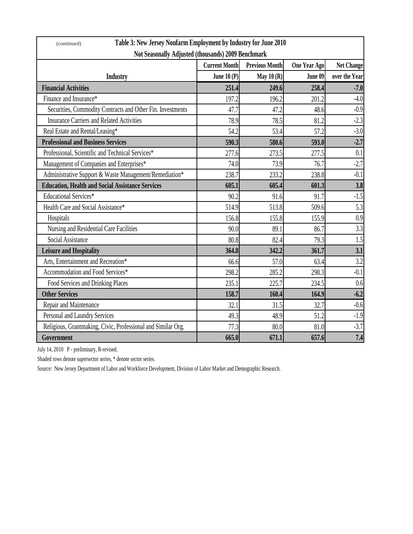| Table 3: New Jersey Nonfarm Employment by Industry for June 2010<br>(continued) |                      |                       |                     |                   |  |  |
|---------------------------------------------------------------------------------|----------------------|-----------------------|---------------------|-------------------|--|--|
| Not Seasonally Adjusted (thousands) 2009 Benchmark                              |                      |                       |                     |                   |  |  |
|                                                                                 | <b>Current Month</b> | <b>Previous Month</b> | <b>One Year Ago</b> | <b>Net Change</b> |  |  |
| <b>Industry</b>                                                                 | June $10(P)$         | May $10(R)$           | June 09             | over the Year     |  |  |
| <b>Financial Activities</b>                                                     | 251.4                | 249.6                 | 258.4               | $-7.0$            |  |  |
| Finance and Insurance*                                                          | 197.2                | 196.2                 | 201.2               | $-4.0$            |  |  |
| Securities, Commodity Contracts and Other Fin. Investments                      | 47.7                 | 47.2                  | 48.6                | $-0.9$            |  |  |
| <b>Insurance Carriers and Related Activities</b>                                | 78.9                 | 78.5                  | 81.2                | $-2.3$            |  |  |
| Real Estate and Rental/Leasing*                                                 | 54.2                 | 53.4                  | 57.2                | $-3.0$            |  |  |
| <b>Professional and Business Services</b>                                       | 590.3                | 580.6                 | 593.0               | $-2.7$            |  |  |
| Professional, Scientific and Technical Services*                                | 277.6                | 273.5                 | 277.5               | 0.1               |  |  |
| Management of Companies and Enterprises*                                        | 74.0                 | 73.9                  | 76.7                | $-2.7$            |  |  |
| Administrative Support & Waste Management/Remediation*                          | 238.7                | 233.2                 | 238.8               | $-0.1$            |  |  |
| <b>Education, Health and Social Assistance Services</b>                         | 605.1                | 605.4                 | 601.3               | 3.8               |  |  |
| <b>Educational Services*</b>                                                    | 90.2                 | 91.6                  | 91.7                | $-1.5$            |  |  |
| Health Care and Social Assistance*                                              | 514.9                | 513.8                 | 509.6               | 5.3               |  |  |
| Hospitals                                                                       | 156.8                | 155.8                 | 155.9               | 0.9               |  |  |
| Nursing and Residential Care Facilities                                         | 90.0                 | 89.1                  | 86.7                | 3.3               |  |  |
| Social Assistance                                                               | 80.8                 | 82.4                  | 79.3                | 1.5               |  |  |
| <b>Leisure and Hospitality</b>                                                  | 364.8                | 342.2                 | 361.7               | 3.1               |  |  |
| Arts, Entertainment and Recreation*                                             | 66.6                 | 57.0                  | 63.4                | 3.2               |  |  |
| Accommodation and Food Services*                                                | 298.2                | 285.2                 | 298.3               | $-0.1$            |  |  |
| Food Services and Drinking Places                                               | 235.1                | 225.7                 | 234.5               | 0.6               |  |  |
| <b>Other Services</b>                                                           | 158.7                | 160.4                 | 164.9               | $-6.2$            |  |  |
| Repair and Maintenance                                                          | 32.1                 | 31.5                  | 32.7                | $-0.6$            |  |  |
| Personal and Laundry Services                                                   | 49.3                 | 48.9                  | 51.2                | $-1.9$            |  |  |
| Religious, Grantmaking, Civic, Professional and Similar Org.                    | 77.3                 | 80.0                  | 81.0                | $-3.7$            |  |  |
| Government                                                                      | 665.0                | 671.1                 | 657.6               | 7.4               |  |  |

July 14, 2010 P - preliminary, R-revised.

Shaded rows denote supersector series, \* denote sector series.

Source: New Jersey Department of Labor and Workforce Development, Division of Labor Market and Demographic Research.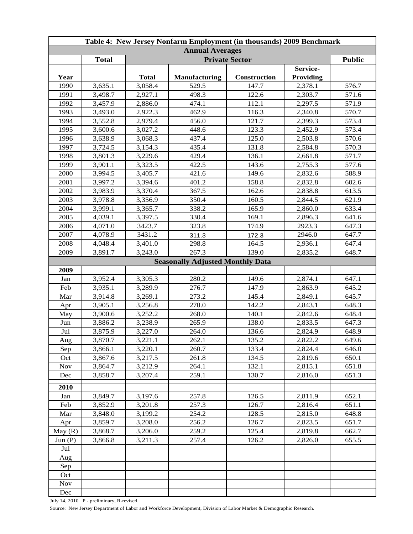| Table 4: New Jersey Nonfarm Employment (in thousands) 2009 Benchmark |              |              |                                         |              |                  |       |  |
|----------------------------------------------------------------------|--------------|--------------|-----------------------------------------|--------------|------------------|-------|--|
| <b>Annual Averages</b>                                               |              |              |                                         |              |                  |       |  |
|                                                                      | <b>Total</b> |              | <b>Public</b>                           |              |                  |       |  |
|                                                                      |              |              |                                         |              | Service-         |       |  |
| Year                                                                 |              | <b>Total</b> | <b>Manufacturing</b>                    | Construction | <b>Providing</b> |       |  |
| 1990                                                                 | 3,635.1      | 3,058.4      | 529.5                                   | 147.7        | 2,378.1          | 576.7 |  |
| 1991                                                                 | 3,498.7      | 2,927.1      | 498.3                                   | 122.6        | 2,303.7          | 571.6 |  |
| 1992                                                                 | 3,457.9      | 2,886.0      | 474.1                                   | 112.1        | 2,297.5          | 571.9 |  |
| 1993                                                                 | 3,493.0      | 2,922.3      | 462.9                                   | 116.3        | 2,340.8          | 570.7 |  |
| 1994                                                                 | 3,552.8      | 2,979.4      | 456.0                                   | 121.7        | 2,399.3          | 573.4 |  |
| 1995                                                                 | 3,600.6      | 3,027.2      | 448.6                                   | 123.3        | 2,452.9          | 573.4 |  |
| 1996                                                                 | 3,638.9      | 3,068.3      | 437.4                                   | 125.0        | 2,503.8          | 570.6 |  |
| 1997                                                                 | 3,724.5      | 3,154.3      | 435.4                                   | 131.8        | 2,584.8          | 570.3 |  |
| 1998                                                                 | 3,801.3      | 3,229.6      | 429.4                                   | 136.1        | 2,661.8          | 571.7 |  |
| 1999                                                                 | 3,901.1      | 3,323.5      | 422.5                                   | 143.6        | 2,755.3          | 577.6 |  |
| 2000                                                                 | 3,994.5      | 3,405.7      | 421.6                                   | 149.6        | 2,832.6          | 588.9 |  |
| 2001                                                                 | 3,997.2      | 3,394.6      | 401.2                                   | 158.8        | 2,832.8          | 602.6 |  |
| 2002                                                                 | 3,983.9      | 3,370.4      | 367.5                                   | 162.6        | 2,838.8          | 613.5 |  |
| 2003                                                                 | 3,978.8      | 3,356.9      | 350.4                                   | 160.5        | 2,844.5          | 621.9 |  |
| 2004                                                                 | 3,999.1      | 3,365.7      | 338.2                                   | 165.9        | 2,860.0          | 633.4 |  |
| 2005                                                                 | 4,039.1      | 3,397.5      | 330.4                                   | 169.1        | 2,896.3          | 641.6 |  |
| 2006                                                                 | 4,071.0      | 3423.7       | 323.8                                   | 174.9        | 2923.3           | 647.3 |  |
| 2007                                                                 | 4,078.9      | 3431.2       | 311.3                                   | 172.3        | 2946.0           | 647.7 |  |
| 2008                                                                 | 4,048.4      | 3,401.0      | 298.8                                   | 164.5        | 2,936.1          | 647.4 |  |
| 2009                                                                 | 3,891.7      | 3,243.0      | 267.3                                   | 139.0        | 2,835.2          | 648.7 |  |
|                                                                      |              |              | <b>Seasonally Adjusted Monthly Data</b> |              |                  |       |  |
| 2009                                                                 |              |              |                                         |              |                  |       |  |
| Jan                                                                  | 3,952.4      | 3,305.3      | 280.2                                   | 149.6        | 2,874.1          | 647.1 |  |
| Feb                                                                  | 3,935.1      | 3,289.9      | 276.7                                   | 147.9        | 2,863.9          | 645.2 |  |
| Mar                                                                  | 3,914.8      | 3,269.1      | 273.2                                   | 145.4        | 2,849.1          | 645.7 |  |
| Apr                                                                  | 3,905.1      | 3,256.8      | 270.0                                   | 142.2        | 2,843.1          | 648.3 |  |
| May                                                                  | 3,900.6      | 3,252.2      | 268.0                                   | 140.1        | 2,842.6          | 648.4 |  |
| Jun                                                                  | 3,886.2      | 3,238.9      | 265.9                                   | 138.0        | 2,833.5          | 647.3 |  |
| Jul                                                                  | 3,875.9      | 3,227.0      | 264.0                                   | 136.6        | 2,824.9          | 648.9 |  |
| Aug                                                                  | 3,870.7      | 3,221.1      | 262.1                                   | 135.2        | 2,822.2          | 649.6 |  |
| Sep                                                                  | 3,866.1      | 3,220.1      | 260.7                                   | 133.4        | 2,824.4          | 646.0 |  |
| Oct                                                                  | 3,867.6      | 3,217.5      | 261.8                                   | 134.5        | 2,819.6          | 650.1 |  |
| <b>Nov</b>                                                           | 3,864.7      | 3,212.9      | 264.1                                   | 132.1        | 2,815.1          | 651.8 |  |
| Dec                                                                  | 3,858.7      | 3,207.4      | 259.1                                   | 130.7        | 2,816.0          | 651.3 |  |
| 2010                                                                 |              |              |                                         |              |                  |       |  |
| Jan                                                                  | 3,849.7      | 3,197.6      | 257.8                                   | 126.5        | 2,811.9          | 652.1 |  |
| Feb                                                                  | 3,852.9      | 3,201.8      | 257.3                                   | 126.7        | 2,816.4          | 651.1 |  |
| Mar                                                                  | 3,848.0      | 3,199.2      | 254.2                                   | 128.5        | 2,815.0          | 648.8 |  |
| Apr                                                                  | 3,859.7      | 3,208.0      | 256.2                                   | 126.7        | 2,823.5          | 651.7 |  |
| May(R)                                                               | 3,868.7      | 3,206.0      | 259.2                                   | 125.4        | 2,819.8          | 662.7 |  |
| Jun (P)                                                              | 3,866.8      | 3,211.3      | 257.4                                   | 126.2        | 2,826.0          | 655.5 |  |
| Jul                                                                  |              |              |                                         |              |                  |       |  |
| Aug                                                                  |              |              |                                         |              |                  |       |  |
| Sep                                                                  |              |              |                                         |              |                  |       |  |
| Oct                                                                  |              |              |                                         |              |                  |       |  |
| <b>Nov</b>                                                           |              |              |                                         |              |                  |       |  |
| Dec                                                                  |              |              |                                         |              |                  |       |  |

July 14, 2010 P - preliminary, R-revised.

Source: New Jersey Department of Labor and Workforce Development, Division of Labor Market & Demographic Research.